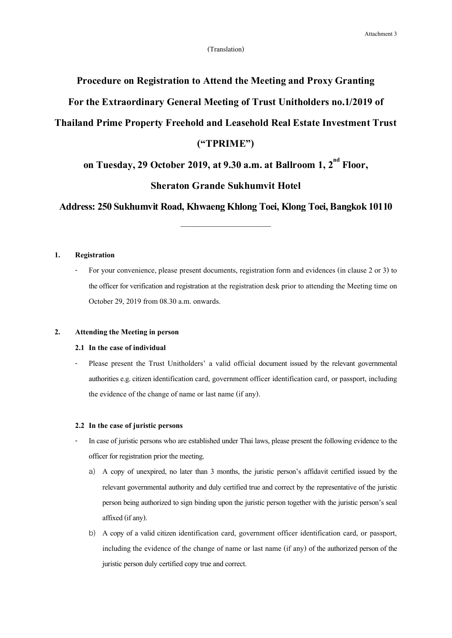# **Procedure on Registration to Attend the Meeting and Proxy Granting**

# **For the Extraordinary General Meeting of Trust Unitholders no.1/2019 of**

# **Thailand Prime Property Freehold and Leasehold Real Estate Investment Trust**

# **("TPRIME")**

**on Tuesday, 29 October 2019, at 9.30a.m. at Ballroom 1, 2 nd Floor,** 

# **Sheraton Grande Sukhumvit Hotel**

**Address: 250 Sukhumvit Road, Khwaeng Khlong Toei, Klong Toei, Bangkok 10110**

\_\_\_\_\_\_\_\_\_\_\_\_\_\_\_\_\_\_\_\_\_\_\_\_\_\_

## **1. Registration**

For your convenience, please present documents, registration form and evidences (in clause 2 or 3) to the officer for verification and registration at the registration desk prior to attending the Meeting time on October 29, 2019 from 08.30 a.m. onwards.

## **2. Attending the Meeting in person**

## **2.1 In the case of individual**

- Please present the Trust Unitholders' a valid official document issued by the relevant governmental authoritiese.g. citizen identification card, government officer identification card, or passport, including the evidence of the change of name or last name (if any).

#### **2.2 In the case of juristic persons**

- In case of juristic persons who are established under Thai laws, please present the following evidence to the officer for registration prior the meeting.
	- a) A copy of unexpired, no later than 3 months, the juristic person's affidavit certified issued by the relevant governmental authority and duly certified true and correct by the representative of the juristic personbeing authorized to sign binding upon the juristic person together with the juristic person's seal affixed (if any).
	- b) A copy of a valid citizen identification card, government officer identification card, or passport, including the evidence of the change of name or last name (if any) of the authorized person of the juristic person duly certified copy true and correct.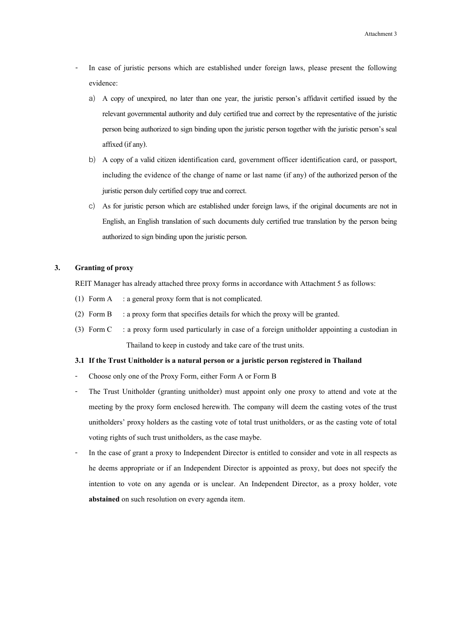- In case of juristic persons which are established under foreign laws, please present the following evidence:
	- a) A copy of unexpired, no later than one year, the juristic person's affidavit certified issued by the relevant governmental authority and duly certified true and correct by the representative of the juristic person being authorized to sign binding upon the juristic person together with the juristic person's seal affixed (if any).
	- b) A copy of a valid citizen identification card, government officer identification card, or passport, including the evidence of the change of name or last name (if any) of the authorized person of the juristic person duly certified copy true and correct.
	- c) As for juristic person which are established under foreign laws, if the original documents are not in English, an English translation of such documents duly certified true translation by the person being authorized to sign binding upon the juristic person.

## **3. Granting of proxy**

REIT Manager has already attached three proxy forms in accordance with Attachment 5 as follows:

- (1) Form A : a general proxy form that is not complicated.
- (2) Form B : a proxy form that specifies details for which the proxy will be granted.
- (3) Form C : a proxy form used particularly in case of a foreign unitholder appointing a custodian in Thailand to keep in custody and take care of the trust units.

#### **3.1 If the Trust Unitholder is a natural person or a juristic person registered in Thailand**

- Choose only one of the Proxy Form, either Form A or Form B
- The Trust Unitholder (granting unitholder) must appoint only one proxy to attend and vote at the meeting by the proxy form enclosed herewith. The company will deem the casting votes of the trust unitholders' proxy holders as the casting vote of total trust unitholders, or as the casting vote of total voting rights of such trust unitholders, as the case maybe.
- In the case of grant a proxy to Independent Director is entitled to consider and vote in all respects as he deems appropriate or if an Independent Director is appointed as proxy, but does not specify the intention to vote on any agenda or is unclear. An Independent Director, as a proxy holder, vote **abstained** on such resolution on every agenda item.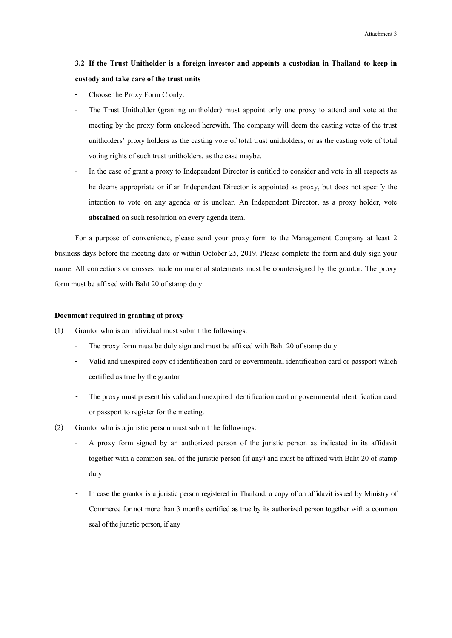# **3.2 If the Trust Unitholder is a foreign investor and appoints a custodian in Thailand to keep in custody and take care of the trust units**

- Choose the Proxy Form C only.
- The Trust Unitholder (granting unitholder) must appoint only one proxy to attend and vote at the meeting by the proxy form enclosed herewith. The company will deem the casting votes of the trust unitholders' proxy holders as the casting vote of total trust unitholders, or as the casting vote of total voting rights of such trust unitholders, as the case maybe.
- In the case of grant a proxy to Independent Director is entitled to consider and vote in all respects as he deems appropriate or if an Independent Director is appointed as proxy, but does not specify the intention to vote on any agenda or is unclear. An Independent Director, as a proxy holder, vote **abstained** on such resolution on every agenda item.

For a purpose of convenience, please send your proxy form to the Management Company at least 2 business days before the meeting date or within October 25, 2019. Please complete the form and duly sign your name. All corrections or crosses made on material statements must be countersigned by the grantor. The proxy form must be affixed with Baht 20 of stamp duty.

### **Document required in granting of proxy**

- (1) Grantor who is an individual must submit the followings:
	- The proxy form must be duly sign and must be affixed with Baht 20 of stamp duty.
	- Valid and unexpired copy of identification card or governmental identification card or passport which certified as true by the grantor
	- The proxy must present his valid and unexpired identification card or governmental identification card or passport to register for the meeting.
- (2) Grantor who is a juristic person must submit the followings:
	- A proxy form signed by an authorized person of the juristic person as indicated in its affidavit together with a common seal of the juristic person (if any) and must be affixed with Baht 20 of stamp duty.
	- In case the grantor is a juristic person registered in Thailand, a copy of an affidavit issued by Ministry of Commerce for not more than 3 months certified as true by its authorized person together with a common seal of the juristic person, if any